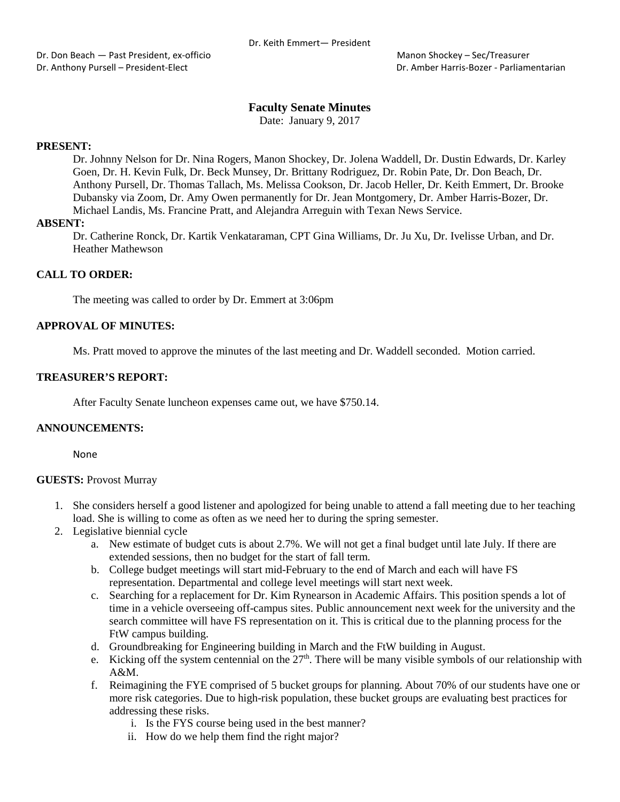# **Faculty Senate Minutes**

Date: January 9, 2017

# **PRESENT:**

Dr. Johnny Nelson for Dr. Nina Rogers, Manon Shockey, Dr. Jolena Waddell, Dr. Dustin Edwards, Dr. Karley Goen, Dr. H. Kevin Fulk, Dr. Beck Munsey, Dr. Brittany Rodriguez, Dr. Robin Pate, Dr. Don Beach, Dr. Anthony Pursell, Dr. Thomas Tallach, Ms. Melissa Cookson, Dr. Jacob Heller, Dr. Keith Emmert, Dr. Brooke Dubansky via Zoom, Dr. Amy Owen permanently for Dr. Jean Montgomery, Dr. Amber Harris-Bozer, Dr. Michael Landis, Ms. Francine Pratt, and Alejandra Arreguin with Texan News Service.

# **ABSENT:**

Dr. Catherine Ronck, Dr. Kartik Venkataraman, CPT Gina Williams, Dr. Ju Xu, Dr. Ivelisse Urban, and Dr. Heather Mathewson

# **CALL TO ORDER:**

The meeting was called to order by Dr. Emmert at 3:06pm

# **APPROVAL OF MINUTES:**

Ms. Pratt moved to approve the minutes of the last meeting and Dr. Waddell seconded. Motion carried.

# **TREASURER'S REPORT:**

After Faculty Senate luncheon expenses came out, we have \$750.14.

# **ANNOUNCEMENTS:**

None

### **GUESTS:** Provost Murray

- 1. She considers herself a good listener and apologized for being unable to attend a fall meeting due to her teaching load. She is willing to come as often as we need her to during the spring semester.
- 2. Legislative biennial cycle
	- a. New estimate of budget cuts is about 2.7%. We will not get a final budget until late July. If there are extended sessions, then no budget for the start of fall term.
	- b. College budget meetings will start mid-February to the end of March and each will have FS representation. Departmental and college level meetings will start next week.
	- c. Searching for a replacement for Dr. Kim Rynearson in Academic Affairs. This position spends a lot of time in a vehicle overseeing off-campus sites. Public announcement next week for the university and the search committee will have FS representation on it. This is critical due to the planning process for the FtW campus building.
	- d. Groundbreaking for Engineering building in March and the FtW building in August.
	- e. Kicking off the system centennial on the  $27<sup>th</sup>$ . There will be many visible symbols of our relationship with A&M.
	- f. Reimagining the FYE comprised of 5 bucket groups for planning. About 70% of our students have one or more risk categories. Due to high-risk population, these bucket groups are evaluating best practices for addressing these risks.
		- i. Is the FYS course being used in the best manner?
		- ii. How do we help them find the right major?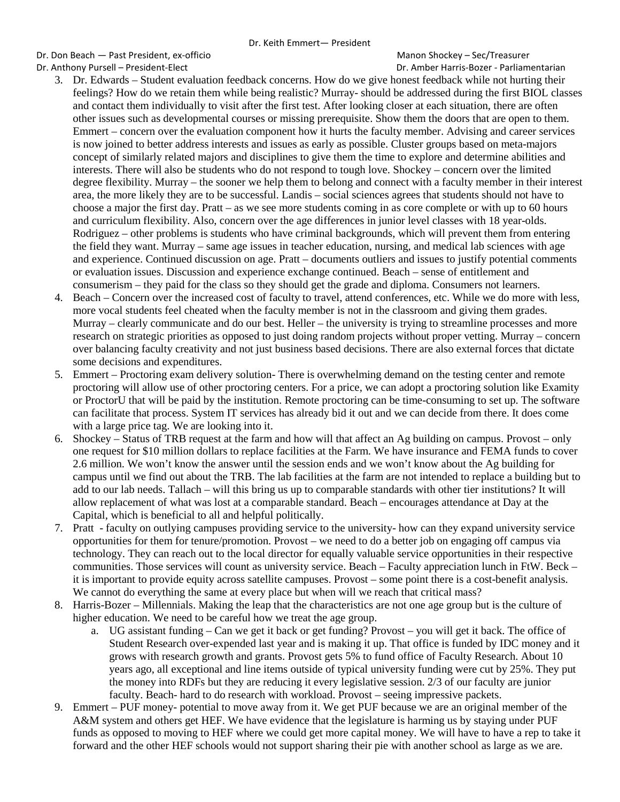Dr. Don Beach — Past President, ex-officio et al. (2008) Manon Shockey – Sec/Treasurer Dr. Anthony Pursell – President-Elect Dr. Amber Harris-Bozer - Parliamentarian

- 3. Dr. Edwards Student evaluation feedback concerns. How do we give honest feedback while not hurting their feelings? How do we retain them while being realistic? Murray- should be addressed during the first BIOL classes and contact them individually to visit after the first test. After looking closer at each situation, there are often other issues such as developmental courses or missing prerequisite. Show them the doors that are open to them. Emmert – concern over the evaluation component how it hurts the faculty member. Advising and career services is now joined to better address interests and issues as early as possible. Cluster groups based on meta-majors concept of similarly related majors and disciplines to give them the time to explore and determine abilities and interests. There will also be students who do not respond to tough love. Shockey – concern over the limited degree flexibility. Murray – the sooner we help them to belong and connect with a faculty member in their interest area, the more likely they are to be successful. Landis – social sciences agrees that students should not have to choose a major the first day. Pratt – as we see more students coming in as core complete or with up to 60 hours and curriculum flexibility. Also, concern over the age differences in junior level classes with 18 year-olds. Rodriguez – other problems is students who have criminal backgrounds, which will prevent them from entering the field they want. Murray – same age issues in teacher education, nursing, and medical lab sciences with age and experience. Continued discussion on age. Pratt – documents outliers and issues to justify potential comments or evaluation issues. Discussion and experience exchange continued. Beach – sense of entitlement and consumerism – they paid for the class so they should get the grade and diploma. Consumers not learners.
- 4. Beach Concern over the increased cost of faculty to travel, attend conferences, etc. While we do more with less, more vocal students feel cheated when the faculty member is not in the classroom and giving them grades. Murray – clearly communicate and do our best. Heller – the university is trying to streamline processes and more research on strategic priorities as opposed to just doing random projects without proper vetting. Murray – concern over balancing faculty creativity and not just business based decisions. There are also external forces that dictate some decisions and expenditures.
- 5. Emmert Proctoring exam delivery solution- There is overwhelming demand on the testing center and remote proctoring will allow use of other proctoring centers. For a price, we can adopt a proctoring solution like Examity or ProctorU that will be paid by the institution. Remote proctoring can be time-consuming to set up. The software can facilitate that process. System IT services has already bid it out and we can decide from there. It does come with a large price tag. We are looking into it.
- 6. Shockey Status of TRB request at the farm and how will that affect an Ag building on campus. Provost only one request for \$10 million dollars to replace facilities at the Farm. We have insurance and FEMA funds to cover 2.6 million. We won't know the answer until the session ends and we won't know about the Ag building for campus until we find out about the TRB. The lab facilities at the farm are not intended to replace a building but to add to our lab needs. Tallach – will this bring us up to comparable standards with other tier institutions? It will allow replacement of what was lost at a comparable standard. Beach – encourages attendance at Day at the Capital, which is beneficial to all and helpful politically.
- 7. Pratt faculty on outlying campuses providing service to the university- how can they expand university service opportunities for them for tenure/promotion. Provost – we need to do a better job on engaging off campus via technology. They can reach out to the local director for equally valuable service opportunities in their respective communities. Those services will count as university service. Beach – Faculty appreciation lunch in FtW. Beck – it is important to provide equity across satellite campuses. Provost – some point there is a cost-benefit analysis. We cannot do everything the same at every place but when will we reach that critical mass?
- 8. Harris-Bozer Millennials. Making the leap that the characteristics are not one age group but is the culture of higher education. We need to be careful how we treat the age group.
	- a. UG assistant funding Can we get it back or get funding? Provost you will get it back. The office of Student Research over-expended last year and is making it up. That office is funded by IDC money and it grows with research growth and grants. Provost gets 5% to fund office of Faculty Research. About 10 years ago, all exceptional and line items outside of typical university funding were cut by 25%. They put the money into RDFs but they are reducing it every legislative session. 2/3 of our faculty are junior faculty. Beach- hard to do research with workload. Provost – seeing impressive packets.
- 9. Emmert PUF money- potential to move away from it. We get PUF because we are an original member of the A&M system and others get HEF. We have evidence that the legislature is harming us by staying under PUF funds as opposed to moving to HEF where we could get more capital money. We will have to have a rep to take it forward and the other HEF schools would not support sharing their pie with another school as large as we are.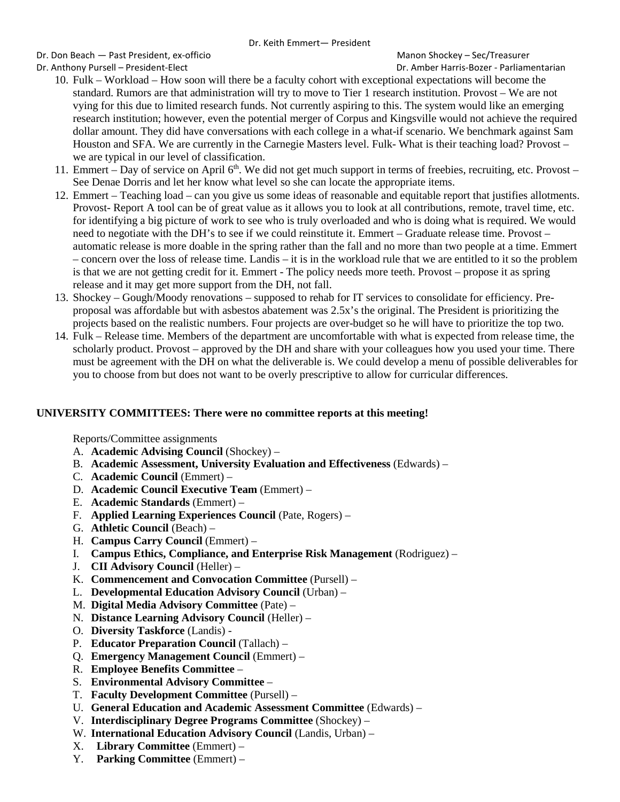Dr. Don Beach — Past President, ex-officio et al. (2008) Manon Shockey – Sec/Treasurer Dr. Anthony Pursell – President-Elect Dr. Amber Harris-Bozer - Parliamentarian

- 10. Fulk Workload How soon will there be a faculty cohort with exceptional expectations will become the standard. Rumors are that administration will try to move to Tier 1 research institution. Provost – We are not vying for this due to limited research funds. Not currently aspiring to this. The system would like an emerging research institution; however, even the potential merger of Corpus and Kingsville would not achieve the required dollar amount. They did have conversations with each college in a what-if scenario. We benchmark against Sam Houston and SFA. We are currently in the Carnegie Masters level. Fulk- What is their teaching load? Provost – we are typical in our level of classification.
- 11. Emmert Day of service on April 6<sup>th</sup>. We did not get much support in terms of freebies, recruiting, etc. Provost See Denae Dorris and let her know what level so she can locate the appropriate items.
- 12. Emmert Teaching load can you give us some ideas of reasonable and equitable report that justifies allotments. Provost- Report A tool can be of great value as it allows you to look at all contributions, remote, travel time, etc. for identifying a big picture of work to see who is truly overloaded and who is doing what is required. We would need to negotiate with the DH's to see if we could reinstitute it. Emmert – Graduate release time. Provost – automatic release is more doable in the spring rather than the fall and no more than two people at a time. Emmert – concern over the loss of release time. Landis – it is in the workload rule that we are entitled to it so the problem is that we are not getting credit for it. Emmert - The policy needs more teeth. Provost – propose it as spring release and it may get more support from the DH, not fall.
- 13. Shockey Gough/Moody renovations supposed to rehab for IT services to consolidate for efficiency. Preproposal was affordable but with asbestos abatement was 2.5x's the original. The President is prioritizing the projects based on the realistic numbers. Four projects are over-budget so he will have to prioritize the top two.
- 14. Fulk Release time. Members of the department are uncomfortable with what is expected from release time, the scholarly product. Provost – approved by the DH and share with your colleagues how you used your time. There must be agreement with the DH on what the deliverable is. We could develop a menu of possible deliverables for you to choose from but does not want to be overly prescriptive to allow for curricular differences.

# **UNIVERSITY COMMITTEES: There were no committee reports at this meeting!**

Reports/Committee assignments

- A. **Academic Advising Council** (Shockey) –
- B. **Academic Assessment, University Evaluation and Effectiveness** (Edwards) –
- C. **Academic Council** (Emmert) –
- D. **Academic Council Executive Team** (Emmert) –
- E. **Academic Standards** (Emmert) –
- F. **Applied Learning Experiences Council** (Pate, Rogers) –
- G. **Athletic Council** (Beach) –
- H. **Campus Carry Council** (Emmert) –
- I. **Campus Ethics, Compliance, and Enterprise Risk Management** (Rodriguez) –
- J. **CII Advisory Council** (Heller) –
- K. **Commencement and Convocation Committee** (Pursell) –
- L. **Developmental Education Advisory Council** (Urban) –
- M. **Digital Media Advisory Committee** (Pate) –
- N. **Distance Learning Advisory Council** (Heller) –
- O. **Diversity Taskforce** (Landis) -
- P. **Educator Preparation Council** (Tallach) –
- Q. **Emergency Management Council** (Emmert) –
- R. **Employee Benefits Committee** –
- S. **Environmental Advisory Committee** –
- T. **Faculty Development Committee** (Pursell) –
- U. **General Education and Academic Assessment Committee** (Edwards) –
- V. **Interdisciplinary Degree Programs Committee** (Shockey) –
- W. **International Education Advisory Council** (Landis, Urban) –
- X. **Library Committee** (Emmert) –
- Y. **Parking Committee** (Emmert) –